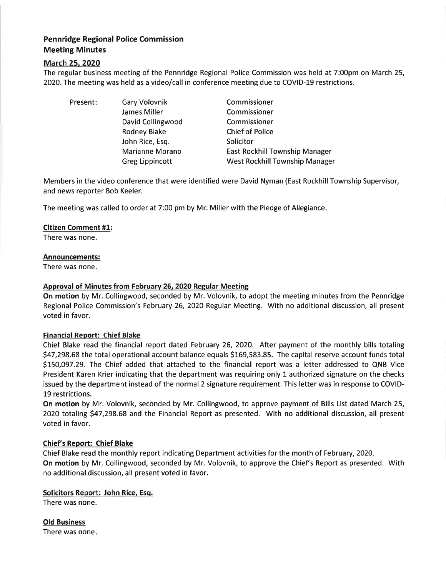# Pennridge Regional Police Commission Meeting Minutes

## March 25.2020

The regular business meeting of the Pennridge Regional Police Commission was held at 7:00pm on March 25, 2020. The meeting was held as a video/call in conference meeting due to COVID-19 restrictions.

Present: Gary Volovnik

James Miller David Collingwood Rodney Blake John Rice, Esq. Marianne Morano Greg Lippincott

Commissioner Commissioner Commissioner Chief of Police Solicitor East Rockhill Township Manager West Rockhill Township Manager

Members in the video conference that were identified were David Nyman (East Rockhill Township Supervisor, and news reporter Bob Keeler.

The meeting was called to order at 7:00 pm by Mr. Miller with the Pledge of Allegiance.

## Citizen Comment #1:

There was none.

### Announcements:

There was none.

## Approval of Minutes from February 26, 2020 Regular Meeting

On motion by Mr. Collingwood, seconded by Mr. Volovnik, to adopt the meeting minutes from the Pennridge Regional Police Commission's February 26,2020 Regular Meeting. With no additional discussion, all present voted in favor.

### Financial Report: Chief Blake

Chief Blake read the financial report dated February 26, 2O20. After payment of the monthly bills totaling 547,298.68 the totaloperationalaccount balance equals 5169,583.85. The capital reserve account funds total 5L50,O97.29. The Chief added that attached to the financial report was a letter addressed to QNB Vice President Karen Krier indicating that the department was requiring only 1 authorized signature on the checks issued by the department instead of the normal 2 signature requirement. This letter was in response to COVID-19 restrictions.

On motion by Mr. Volovnik, seconded by Mr. Collingwood, to approve payment of Bills List dated March 25, 2020 totaling \$47,298.68 and the Financial Report as presented. With no additional discussion, all present voted in favor.

### Chief's Report: Chief Blake

Chief Blake read the monthly report indicating Department activities for the month of February,2020. On motion by Mr. Collingwood, seconded by Mr. Volovnik, to approve the Chief's Report as presented. With no additional discussion, all present voted in favor.

### Solicitors Report: John Rice, Esq.

There was none.

Old Business There was none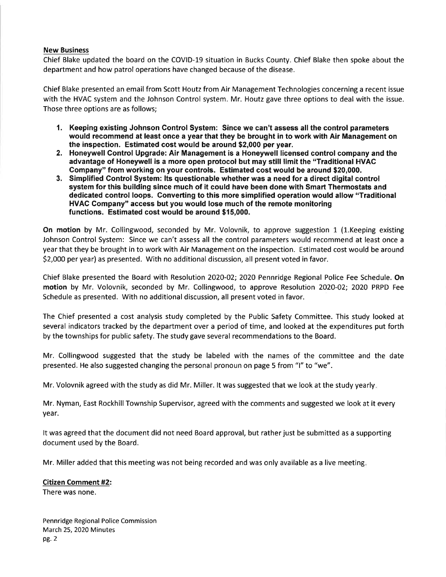#### New Business

Chief Blake updated the board on the COVID-19 situation in Bucks County. Chief Blake then spoke about the department and how patrol operations have changed because of the disease.

Chief Blake presented an email from Scott Houtz from Air Management Technologies concerning a recent issue with the HVAC system and the Johnson Control system. Mr. Houtz gave three options to deal with the issue. Those three options are as follows;

- 1. Keeping existing Johnson Control System: Since we can't assess allthe control parameters would recommend at least once a year that they be brought in to work with Air Management on the inspection. Estimated cost would be around \$2,000 per year.
- 2. Honeywell Control Upgrade: Air Management is a Honeywell licensed control company and the advantage of Honeywell is a more open protocol but may still limit the "Traditional HVAC<br>Company" from working on your controls. Estimated cost would be around \$20,000.
- 3. Simplified Control System: Its questionable whether was a need for a direct digital control system for this building since much of it could have been done with Smart Thermostats and dedicated control loops. Gonverting to this more simplified operatlon would allow "Traditional HVAC Gompany" access but you would lose much of the remote monitoring functions. Estimated cost would be around \$15,000.

On motion by Mr. Collingwood, seconded by Mr. Volovnik, to approve suggestion 1 (1.Keeping existing Johnson Control System: Since we can't assess all the control parameters would recommend at least once <sup>a</sup> year that they be brought in to work with Air Management on the inspection. Estimated cost would be around 52,000 peryear) as presented. With no additionaldiscussion, all present voted in favor.

Chief Blake presented the Board with Resolution 2020-02; 2020 Pennridge Regional Police Fee Schedule. On motion by Mr. Volovnik, seconded by Mr. Collingwood, to approve Resolution 2O2O-02; 2020 PRPD Fee Schedule as presented. With no additional discussion, all present voted in favor.

The Chief presented a cost analysis study completed by the Public Safety Committee. This study looked at several indicators tracked by the department over a period of time, and looked at the expenditures put forth by the townships for public safety. The study gave several recommendations to the Board.

Mr. Collingwood suggested that the study be labeled with the names of the committee and the date presented. He also suggested changing the personal pronoun on page 5 from "1" to "we" .

Mr. Volovnik agreed with the study as did Mr. Miller. lt was suggested that we look at the study yearly

Mr. Nyman, East RockhillTownship Supervisor, agreed with the comments and suggested we look at it every year.

It was agreed that the document did not need Board approval, but rather just be submitted as a supporting document used by the Board.

Mr. Miller added that this meeting was not being recorded and was only available as a live meeting

### Citizen Comment #2:

There was none.

Pennridge Regional Police Commission March 25, 2020 Minutes pe.2